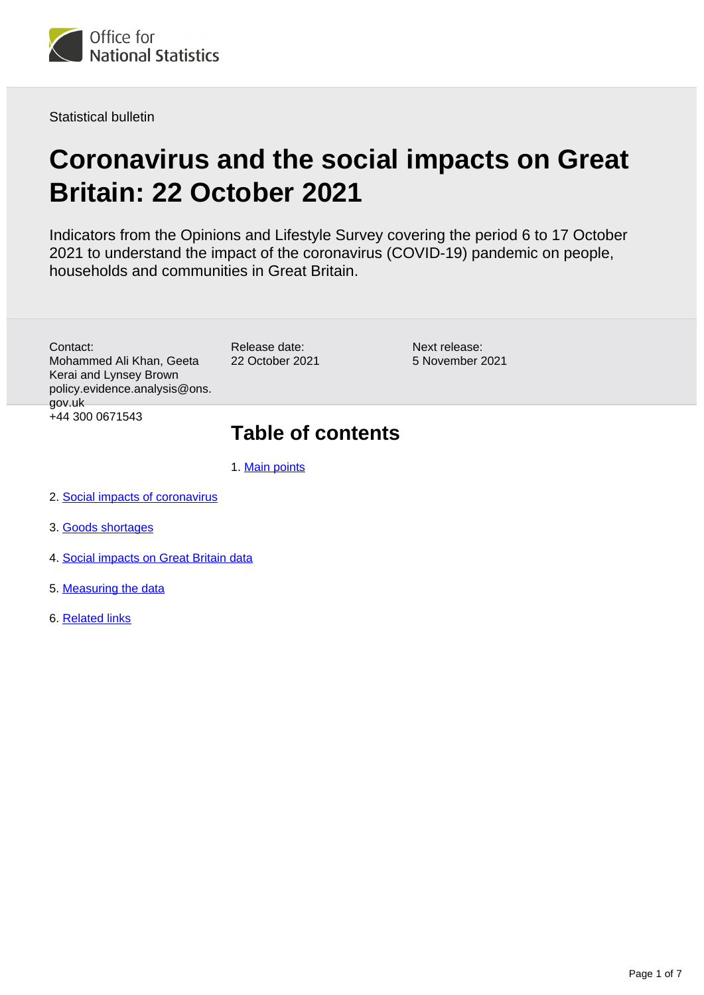

Statistical bulletin

# **Coronavirus and the social impacts on Great Britain: 22 October 2021**

Indicators from the Opinions and Lifestyle Survey covering the period 6 to 17 October 2021 to understand the impact of the coronavirus (COVID-19) pandemic on people, households and communities in Great Britain.

Contact: Mohammed Ali Khan, Geeta Kerai and Lynsey Brown policy.evidence.analysis@ons. gov.uk +44 300 0671543

Release date: 22 October 2021

Next release: 5 November 2021

## **Table of contents**

- 1. [Main points](#page-1-0)
- 2. [Social impacts of coronavirus](#page-1-1)
- 3. [Goods shortages](#page-3-0)
- 4. [Social impacts on Great Britain data](#page-4-0)
- 5. [Measuring the data](#page-4-1)
- 6. [Related links](#page-6-0)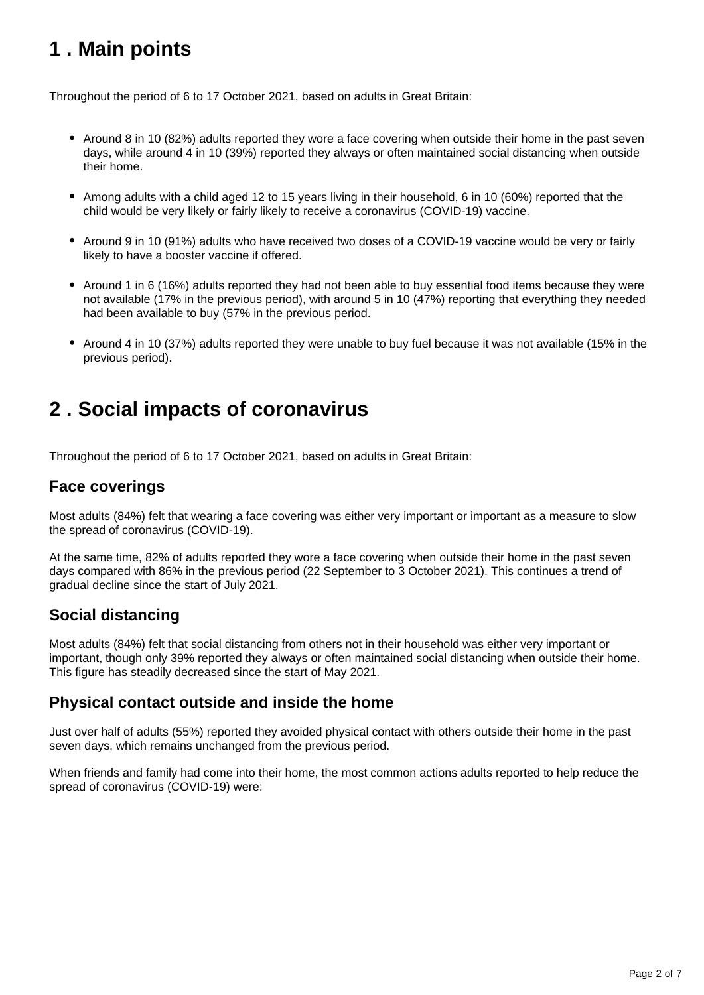## <span id="page-1-0"></span>**1 . Main points**

Throughout the period of 6 to 17 October 2021, based on adults in Great Britain:

- Around 8 in 10 (82%) adults reported they wore a face covering when outside their home in the past seven days, while around 4 in 10 (39%) reported they always or often maintained social distancing when outside their home.
- Among adults with a child aged 12 to 15 years living in their household, 6 in 10 (60%) reported that the child would be very likely or fairly likely to receive a coronavirus (COVID-19) vaccine.
- Around 9 in 10 (91%) adults who have received two doses of a COVID-19 vaccine would be very or fairly likely to have a booster vaccine if offered.
- Around 1 in 6 (16%) adults reported they had not been able to buy essential food items because they were not available (17% in the previous period), with around 5 in 10 (47%) reporting that everything they needed had been available to buy (57% in the previous period.
- Around 4 in 10 (37%) adults reported they were unable to buy fuel because it was not available (15% in the previous period).

## <span id="page-1-1"></span>**2 . Social impacts of coronavirus**

Throughout the period of 6 to 17 October 2021, based on adults in Great Britain:

### **Face coverings**

Most adults (84%) felt that wearing a face covering was either very important or important as a measure to slow the spread of coronavirus (COVID-19).

At the same time, 82% of adults reported they wore a face covering when outside their home in the past seven days compared with 86% in the previous period (22 September to 3 October 2021). This continues a trend of gradual decline since the start of July 2021.

## **Social distancing**

Most adults (84%) felt that social distancing from others not in their household was either very important or important, though only 39% reported they always or often maintained social distancing when outside their home. This figure has steadily decreased since the start of May 2021.

### **Physical contact outside and inside the home**

Just over half of adults (55%) reported they avoided physical contact with others outside their home in the past seven days, which remains unchanged from the previous period.

When friends and family had come into their home, the most common actions adults reported to help reduce the spread of coronavirus (COVID-19) were: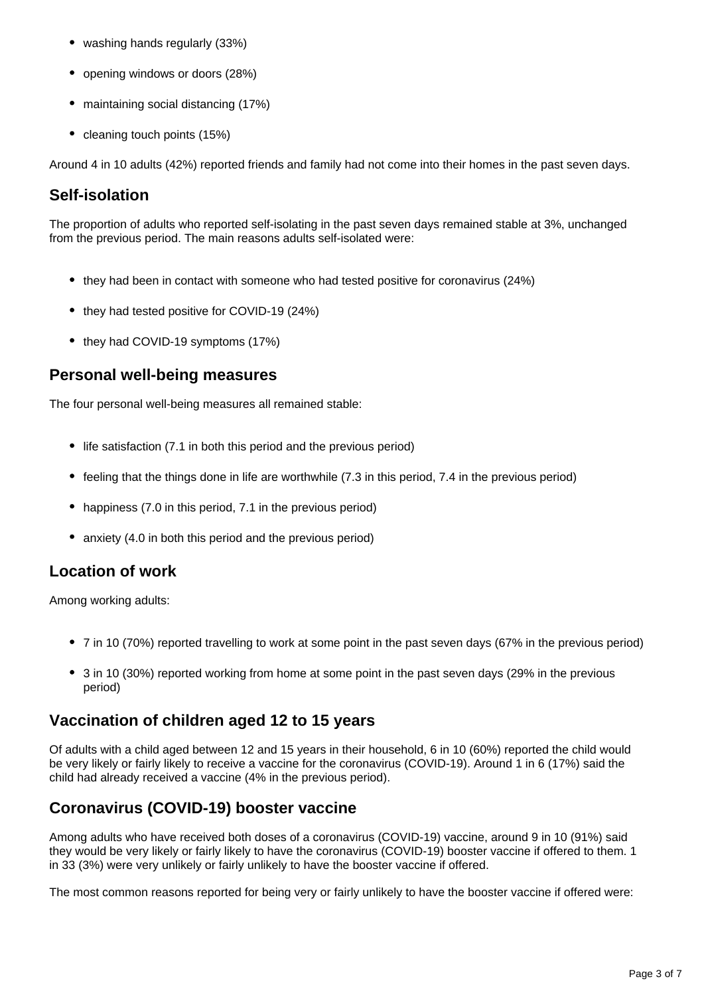- washing hands regularly (33%)
- opening windows or doors (28%)
- maintaining social distancing (17%)
- cleaning touch points (15%)

Around 4 in 10 adults (42%) reported friends and family had not come into their homes in the past seven days.

## **Self-isolation**

The proportion of adults who reported self-isolating in the past seven days remained stable at 3%, unchanged from the previous period. The main reasons adults self-isolated were:

- they had been in contact with someone who had tested positive for coronavirus (24%)
- they had tested positive for COVID-19 (24%)
- they had COVID-19 symptoms (17%)

### **Personal well-being measures**

The four personal well-being measures all remained stable:

- life satisfaction (7.1 in both this period and the previous period)
- feeling that the things done in life are worthwhile (7.3 in this period, 7.4 in the previous period)
- happiness (7.0 in this period, 7.1 in the previous period)
- anxiety (4.0 in both this period and the previous period)

## **Location of work**

Among working adults:

- 7 in 10 (70%) reported travelling to work at some point in the past seven days (67% in the previous period)
- 3 in 10 (30%) reported working from home at some point in the past seven days (29% in the previous period)

### **Vaccination of children aged 12 to 15 years**

Of adults with a child aged between 12 and 15 years in their household, 6 in 10 (60%) reported the child would be very likely or fairly likely to receive a vaccine for the coronavirus (COVID-19). Around 1 in 6 (17%) said the child had already received a vaccine (4% in the previous period).

## **Coronavirus (COVID-19) booster vaccine**

Among adults who have received both doses of a coronavirus (COVID-19) vaccine, around 9 in 10 (91%) said they would be very likely or fairly likely to have the coronavirus (COVID-19) booster vaccine if offered to them. 1 in 33 (3%) were very unlikely or fairly unlikely to have the booster vaccine if offered.

The most common reasons reported for being very or fairly unlikely to have the booster vaccine if offered were: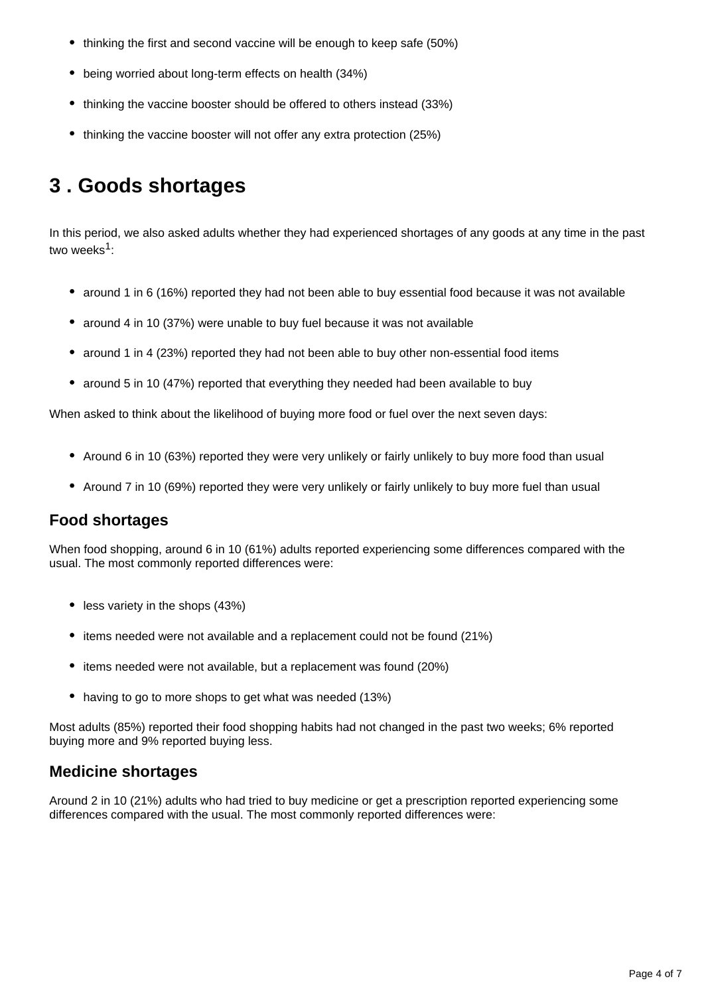- thinking the first and second vaccine will be enough to keep safe (50%)
- being worried about long-term effects on health (34%)
- thinking the vaccine booster should be offered to others instead (33%)
- thinking the vaccine booster will not offer any extra protection (25%)

## <span id="page-3-0"></span>**3 . Goods shortages**

In this period, we also asked adults whether they had experienced shortages of any goods at any time in the past two weeks<sup>1</sup>:

- around 1 in 6 (16%) reported they had not been able to buy essential food because it was not available
- around 4 in 10 (37%) were unable to buy fuel because it was not available
- around 1 in 4 (23%) reported they had not been able to buy other non-essential food items
- around 5 in 10 (47%) reported that everything they needed had been available to buy

When asked to think about the likelihood of buying more food or fuel over the next seven days:

- Around 6 in 10 (63%) reported they were very unlikely or fairly unlikely to buy more food than usual
- Around 7 in 10 (69%) reported they were very unlikely or fairly unlikely to buy more fuel than usual

### **Food shortages**

When food shopping, around 6 in 10 (61%) adults reported experiencing some differences compared with the usual. The most commonly reported differences were:

- $\bullet$  less variety in the shops (43%)
- items needed were not available and a replacement could not be found (21%)
- items needed were not available, but a replacement was found (20%)
- having to go to more shops to get what was needed (13%)

Most adults (85%) reported their food shopping habits had not changed in the past two weeks; 6% reported buying more and 9% reported buying less.

## **Medicine shortages**

Around 2 in 10 (21%) adults who had tried to buy medicine or get a prescription reported experiencing some differences compared with the usual. The most commonly reported differences were: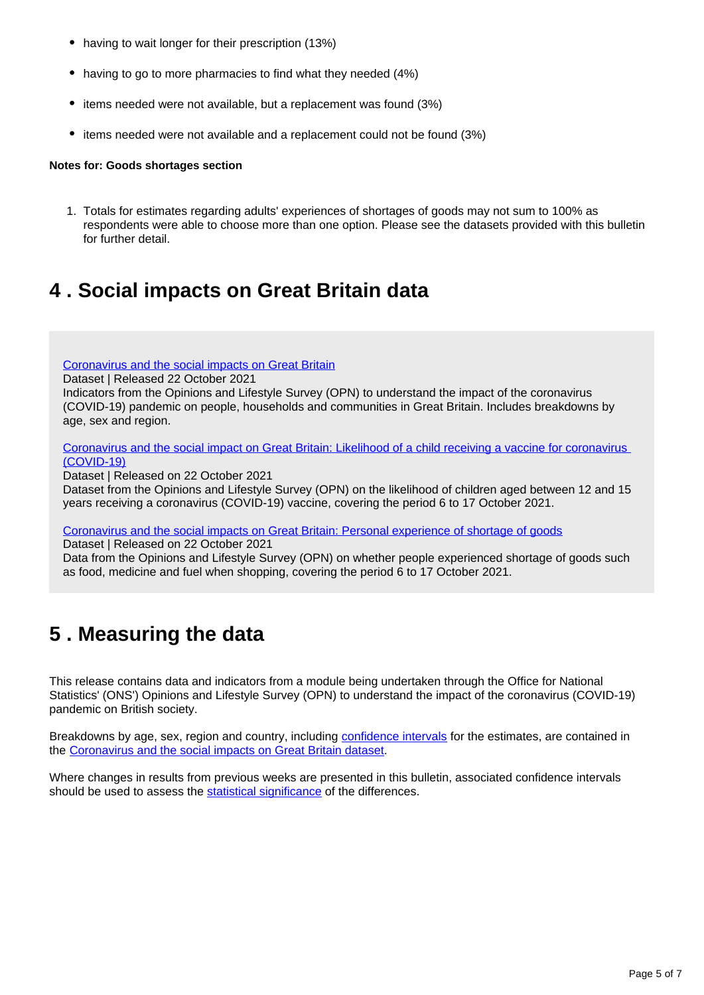- having to wait longer for their prescription (13%)
- having to go to more pharmacies to find what they needed (4%)
- items needed were not available, but a replacement was found (3%)
- items needed were not available and a replacement could not be found (3%)

#### **Notes for: Goods shortages section**

1. Totals for estimates regarding adults' experiences of shortages of goods may not sum to 100% as respondents were able to choose more than one option. Please see the datasets provided with this bulletin for further detail.

## <span id="page-4-0"></span>**4 . Social impacts on Great Britain data**

[Coronavirus and the social impacts on Great Britain](https://www.ons.gov.uk/peoplepopulationandcommunity/healthandsocialcare/healthandwellbeing/datasets/coronavirusandthesocialimpactsongreatbritaindata)

Dataset | Released 22 October 2021

Indicators from the Opinions and Lifestyle Survey (OPN) to understand the impact of the coronavirus (COVID-19) pandemic on people, households and communities in Great Britain. Includes breakdowns by age, sex and region.

[Coronavirus and the social impact on Great Britain: Likelihood of a child receiving a vaccine for coronavirus](https://www.ons.gov.uk/peoplepopulationandcommunity/healthandsocialcare/conditionsanddiseases/datasets/coronavirusandthesocialimpactsongreatbritainlikelihoodofachildreceivingavaccineforcoronaviruscovid19)  [\(COVID-19\)](https://www.ons.gov.uk/peoplepopulationandcommunity/healthandsocialcare/conditionsanddiseases/datasets/coronavirusandthesocialimpactsongreatbritainlikelihoodofachildreceivingavaccineforcoronaviruscovid19)

Dataset | Released on 22 October 2021

Dataset from the Opinions and Lifestyle Survey (OPN) on the likelihood of children aged between 12 and 15 years receiving a coronavirus (COVID-19) vaccine, covering the period 6 to 17 October 2021.

[Coronavirus and the social impacts on Great Britain: Personal experience of shortage of goods](https://www.ons.gov.uk/peoplepopulationandcommunity/healthandsocialcare/conditionsanddiseases/datasets/coronavirusandthesocialimpactsongreatbritainpersonalexperienceofshortageofgoods)

Dataset | Released on 22 October 2021

Data from the Opinions and Lifestyle Survey (OPN) on whether people experienced shortage of goods such as food, medicine and fuel when shopping, covering the period 6 to 17 October 2021.

## <span id="page-4-1"></span>**5 . Measuring the data**

This release contains data and indicators from a module being undertaken through the Office for National Statistics' (ONS') Opinions and Lifestyle Survey (OPN) to understand the impact of the coronavirus (COVID-19) pandemic on British society.

Breakdowns by age, sex, region and country, including [confidence intervals](https://www.ons.gov.uk/methodology/methodologytopicsandstatisticalconcepts/uncertaintyandhowwemeasureit#confidence-interval) for the estimates, are contained in the [Coronavirus and the social impacts on Great Britain dataset.](https://www.ons.gov.uk/peoplepopulationandcommunity/healthandsocialcare/healthandwellbeing/datasets/coronavirusandthesocialimpactsongreatbritaindata)

Where changes in results from previous weeks are presented in this bulletin, associated confidence intervals should be used to assess the [statistical significance](https://www.ons.gov.uk/methodology/methodologytopicsandstatisticalconcepts/uncertaintyandhowwemeasureit#statistical-significance) of the differences.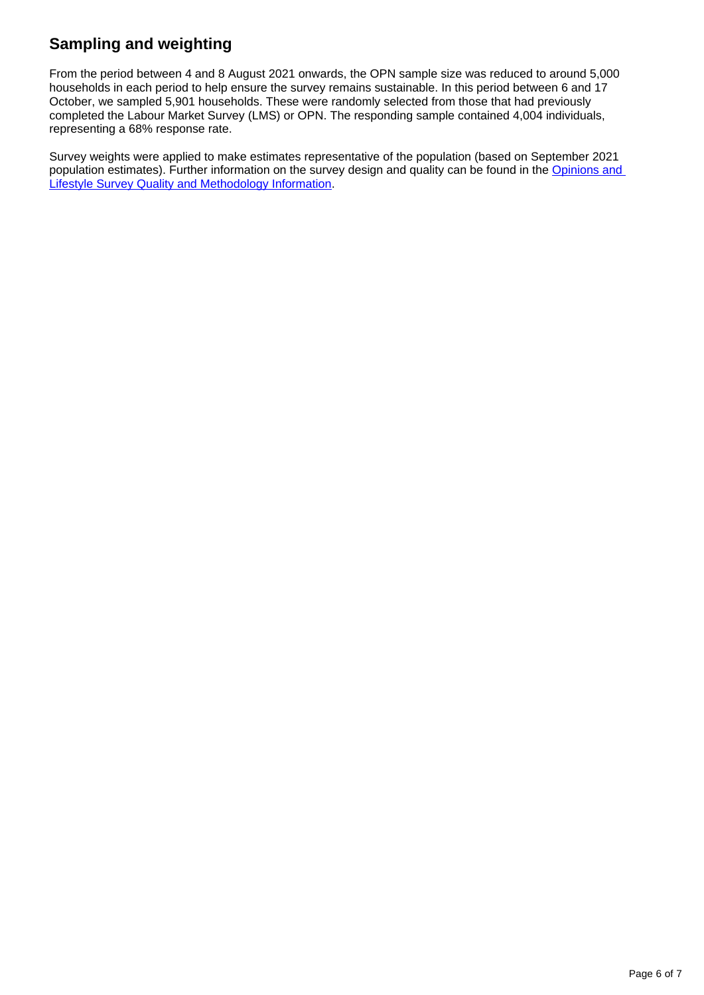## **Sampling and weighting**

From the period between 4 and 8 August 2021 onwards, the OPN sample size was reduced to around 5,000 households in each period to help ensure the survey remains sustainable. In this period between 6 and 17 October, we sampled 5,901 households. These were randomly selected from those that had previously completed the Labour Market Survey (LMS) or OPN. The responding sample contained 4,004 individuals, representing a 68% response rate.

Survey weights were applied to make estimates representative of the population (based on September 2021 population estimates). Further information on the survey design and quality can be found in the Opinions and [Lifestyle Survey Quality and Methodology Information.](https://www.ons.gov.uk/peoplepopulationandcommunity/healthandsocialcare/healthandlifeexpectancies/methodologies/opinionsandlifestylesurveyqmi)